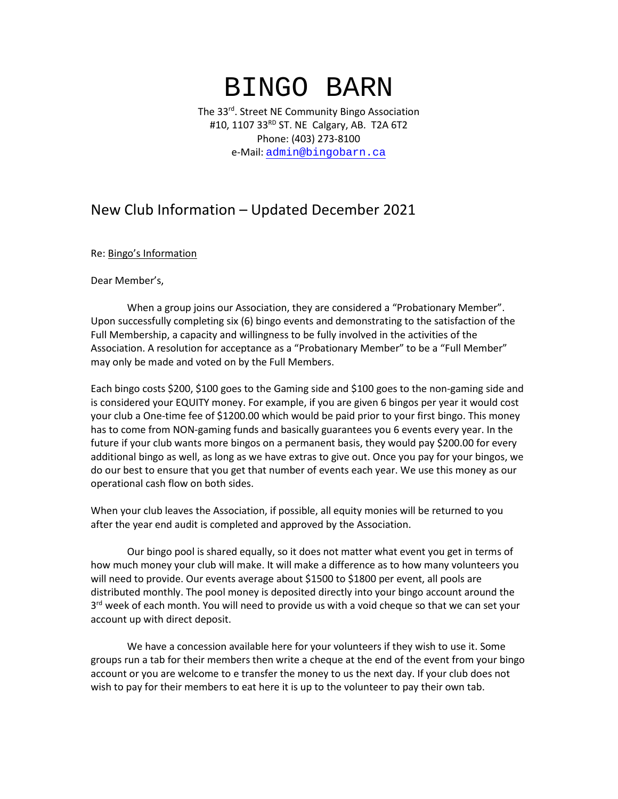## BINGO BARN

The 33rd. Street NE Community Bingo Association #10, 1107 33RD ST. NE Calgary, AB. T2A 6T2 Phone: (403) 273-8100 e-Mail: [admin@bingobarn.ca](mailto:admin@bingobarn.ca)

## New Club Information – Updated December 2021

Re: Bingo's Information

Dear Member's,

When a group joins our Association, they are considered a "Probationary Member". Upon successfully completing six (6) bingo events and demonstrating to the satisfaction of the Full Membership, a capacity and willingness to be fully involved in the activities of the Association. A resolution for acceptance as a "Probationary Member" to be a "Full Member" may only be made and voted on by the Full Members.

Each bingo costs \$200, \$100 goes to the Gaming side and \$100 goes to the non-gaming side and is considered your EQUITY money. For example, if you are given 6 bingos per year it would cost your club a One-time fee of \$1200.00 which would be paid prior to your first bingo. This money has to come from NON-gaming funds and basically guarantees you 6 events every year. In the future if your club wants more bingos on a permanent basis, they would pay \$200.00 for every additional bingo as well, as long as we have extras to give out. Once you pay for your bingos, we do our best to ensure that you get that number of events each year. We use this money as our operational cash flow on both sides.

When your club leaves the Association, if possible, all equity monies will be returned to you after the year end audit is completed and approved by the Association.

Our bingo pool is shared equally, so it does not matter what event you get in terms of how much money your club will make. It will make a difference as to how many volunteers you will need to provide. Our events average about \$1500 to \$1800 per event, all pools are distributed monthly. The pool money is deposited directly into your bingo account around the  $3<sup>rd</sup>$  week of each month. You will need to provide us with a void cheque so that we can set your account up with direct deposit.

We have a concession available here for your volunteers if they wish to use it. Some groups run a tab for their members then write a cheque at the end of the event from your bingo account or you are welcome to e transfer the money to us the next day. If your club does not wish to pay for their members to eat here it is up to the volunteer to pay their own tab.